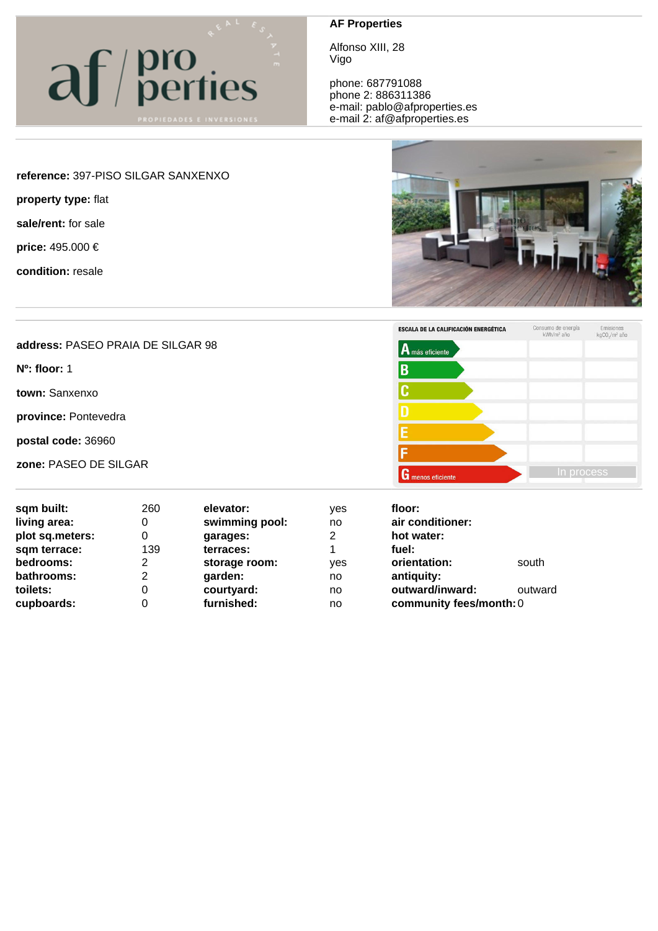## af/pro

## **AF Properties**

Alfonso XIII, 28 Vigo

phone: 687791088 phone 2: 886311386 e-mail: pablo@afproperties.es e-mail 2: af@afproperties.es



**zone:** PASEO DE SILGAR **In process** 

| sqm built:      | 260 | elevator:      | <b>ves</b> | floor:                  |         |
|-----------------|-----|----------------|------------|-------------------------|---------|
| living area:    | 0   | swimming pool: | no         | air conditioner:        |         |
| plot sq.meters: | 0   | garages:       | 2          | hot water:              |         |
| sqm terrace:    | 139 | terraces:      | 4          | fuel:                   |         |
| bedrooms:       | 2   | storage room:  | ves        | orientation:            | south   |
| bathrooms:      | 2   | garden:        | no         | antiquity:              |         |
| toilets:        | 0   | courtyard:     | no         | outward/inward:         | outward |
| cupboards:      | 0   | furnished:     | no         | community fees/month: 0 |         |